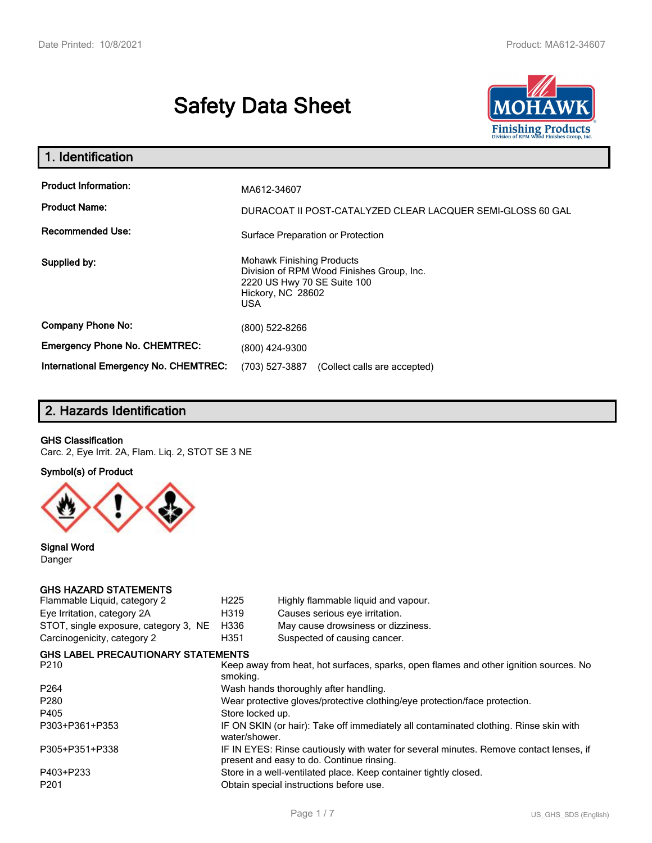# **Safety Data Sheet**



| 1. Identification                                                              |                                                                                                                                          |
|--------------------------------------------------------------------------------|------------------------------------------------------------------------------------------------------------------------------------------|
| <b>Product Information:</b><br><b>Product Name:</b><br><b>Recommended Use:</b> | MA612-34607<br>DURACOAT II POST-CATALYZED CLEAR LACQUER SEMI-GLOSS 60 GAL<br>Surface Preparation or Protection                           |
| Supplied by:                                                                   | <b>Mohawk Finishing Products</b><br>Division of RPM Wood Finishes Group, Inc.<br>2220 US Hwy 70 SE Suite 100<br>Hickory, NC 28602<br>USA |
| <b>Company Phone No:</b>                                                       | (800) 522-8266                                                                                                                           |
| <b>Emergency Phone No. CHEMTREC:</b>                                           | (800) 424-9300                                                                                                                           |
| International Emergency No. CHEMTREC:                                          | (703) 527-3887<br>(Collect calls are accepted)                                                                                           |

# **2. Hazards Identification**

#### **GHS Classification**

Carc. 2, Eye Irrit. 2A, Flam. Liq. 2, STOT SE 3 NE

#### **Symbol(s) of Product**



**Signal Word** Danger

### **GHS HAZARD STATEMENTS**

| Flammable Liquid, category 2              | H <sub>225</sub> | Highly flammable liquid and vapour.                                                                                                 |
|-------------------------------------------|------------------|-------------------------------------------------------------------------------------------------------------------------------------|
| Eye Irritation, category 2A               | H319             | Causes serious eye irritation.                                                                                                      |
| STOT, single exposure, category 3, NE     | H336             | May cause drowsiness or dizziness.                                                                                                  |
| Carcinogenicity, category 2               | H351             | Suspected of causing cancer.                                                                                                        |
| <b>GHS LABEL PRECAUTIONARY STATEMENTS</b> |                  |                                                                                                                                     |
| P <sub>210</sub>                          | smoking.         | Keep away from heat, hot surfaces, sparks, open flames and other ignition sources. No                                               |
| P <sub>264</sub>                          |                  | Wash hands thoroughly after handling.                                                                                               |
| P280                                      |                  | Wear protective gloves/protective clothing/eye protection/face protection.                                                          |
| P405                                      | Store locked up. |                                                                                                                                     |
| P303+P361+P353                            | water/shower.    | IF ON SKIN (or hair): Take off immediately all contaminated clothing. Rinse skin with                                               |
| P305+P351+P338                            |                  | IF IN EYES: Rinse cautiously with water for several minutes. Remove contact lenses, if<br>present and easy to do. Continue rinsing. |
| P403+P233                                 |                  | Store in a well-ventilated place. Keep container tightly closed.                                                                    |
| P <sub>201</sub>                          |                  | Obtain special instructions before use.                                                                                             |
|                                           |                  |                                                                                                                                     |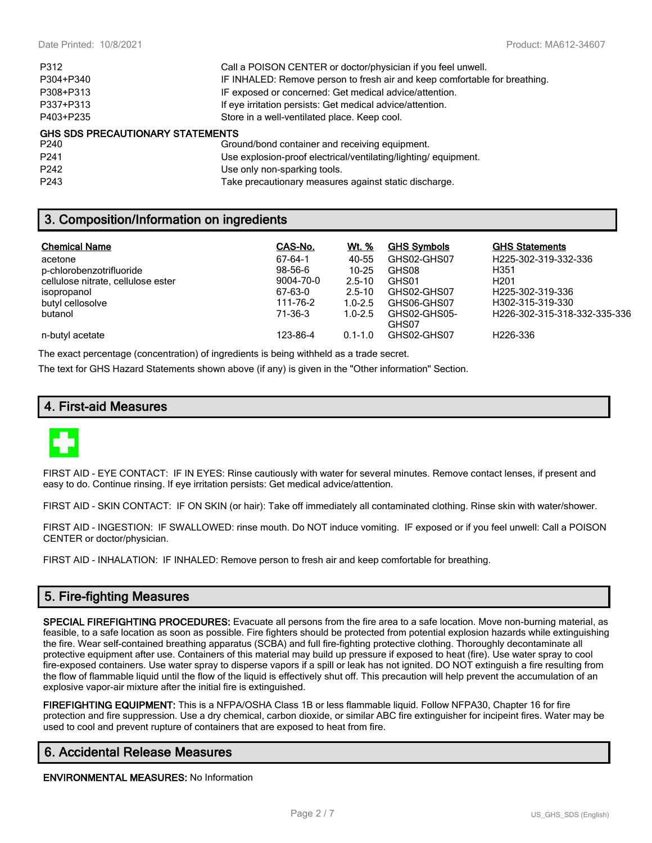| P312                                    | Call a POISON CENTER or doctor/physician if you feel unwell.               |
|-----------------------------------------|----------------------------------------------------------------------------|
| P304+P340                               | IF INHALED: Remove person to fresh air and keep comfortable for breathing. |
| P308+P313                               | IF exposed or concerned: Get medical advice/attention.                     |
| P337+P313                               | If eye irritation persists: Get medical advice/attention.                  |
| P403+P235                               | Store in a well-ventilated place. Keep cool.                               |
| <b>GHS SDS PRECAUTIONARY STATEMENTS</b> |                                                                            |
| P240                                    | Ground/bond container and receiving equipment.                             |
| P <sub>241</sub>                        | Use explosion-proof electrical/ventilating/lighting/equipment.             |
|                                         |                                                                            |

### P242 Use only non-sparking tools.

P243 Take precautionary measures against static discharge.

# **3. Composition/Information on ingredients**

| <b>Chemical Name</b>               | CAS-No.   | Wt. %       | <b>GHS Symbols</b> | <b>GHS Statements</b>        |
|------------------------------------|-----------|-------------|--------------------|------------------------------|
| acetone                            | 67-64-1   | 40-55       | GHS02-GHS07        | H225-302-319-332-336         |
| p-chlorobenzotrifluoride           | 98-56-6   | $10 - 25$   | GHS08              | H351                         |
| cellulose nitrate, cellulose ester | 9004-70-0 | $2.5 - 10$  | GHS01              | H <sub>201</sub>             |
| isopropanol                        | 67-63-0   | $2.5 - 10$  | GHS02-GHS07        | H225-302-319-336             |
| butyl cellosolve                   | 111-76-2  | $1.0 - 2.5$ | GHS06-GHS07        | H302-315-319-330             |
| butanol                            | 71-36-3   | $1.0 - 2.5$ | GHS02-GHS05-       | H226-302-315-318-332-335-336 |
|                                    |           |             | GHS07              |                              |
| n-butyl acetate                    | 123-86-4  | $0.1 - 1.0$ | GHS02-GHS07        | H226-336                     |

The exact percentage (concentration) of ingredients is being withheld as a trade secret.

The text for GHS Hazard Statements shown above (if any) is given in the "Other information" Section.

# **4. First-aid Measures**



FIRST AID - EYE CONTACT: IF IN EYES: Rinse cautiously with water for several minutes. Remove contact lenses, if present and easy to do. Continue rinsing. If eye irritation persists: Get medical advice/attention.

FIRST AID - SKIN CONTACT: IF ON SKIN (or hair): Take off immediately all contaminated clothing. Rinse skin with water/shower.

FIRST AID - INGESTION: IF SWALLOWED: rinse mouth. Do NOT induce vomiting. IF exposed or if you feel unwell: Call a POISON CENTER or doctor/physician.

FIRST AID - INHALATION: IF INHALED: Remove person to fresh air and keep comfortable for breathing.

### **5. Fire-fighting Measures**

**SPECIAL FIREFIGHTING PROCEDURES:** Evacuate all persons from the fire area to a safe location. Move non-burning material, as feasible, to a safe location as soon as possible. Fire fighters should be protected from potential explosion hazards while extinguishing the fire. Wear self-contained breathing apparatus (SCBA) and full fire-fighting protective clothing. Thoroughly decontaminate all protective equipment after use. Containers of this material may build up pressure if exposed to heat (fire). Use water spray to cool fire-exposed containers. Use water spray to disperse vapors if a spill or leak has not ignited. DO NOT extinguish a fire resulting from the flow of flammable liquid until the flow of the liquid is effectively shut off. This precaution will help prevent the accumulation of an explosive vapor-air mixture after the initial fire is extinguished.

**FIREFIGHTING EQUIPMENT:** This is a NFPA/OSHA Class 1B or less flammable liquid. Follow NFPA30, Chapter 16 for fire protection and fire suppression. Use a dry chemical, carbon dioxide, or similar ABC fire extinguisher for incipeint fires. Water may be used to cool and prevent rupture of containers that are exposed to heat from fire.

### **6. Accidental Release Measures**

**ENVIRONMENTAL MEASURES:** No Information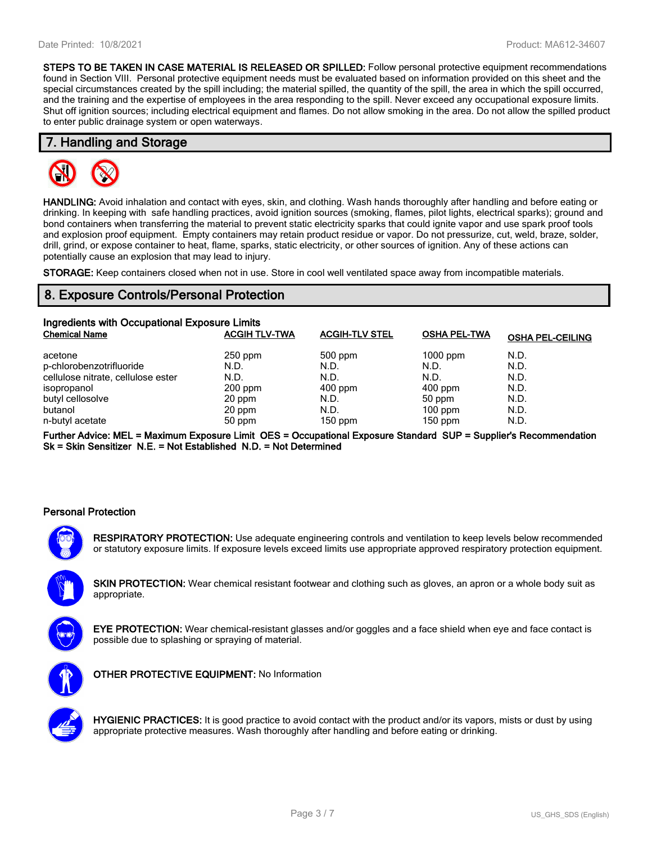**STEPS TO BE TAKEN IN CASE MATERIAL IS RELEASED OR SPILLED:** Follow personal protective equipment recommendations found in Section VIII. Personal protective equipment needs must be evaluated based on information provided on this sheet and the special circumstances created by the spill including; the material spilled, the quantity of the spill, the area in which the spill occurred, and the training and the expertise of employees in the area responding to the spill. Never exceed any occupational exposure limits. Shut off ignition sources; including electrical equipment and flames. Do not allow smoking in the area. Do not allow the spilled product to enter public drainage system or open waterways.

#### **7. Handling and Storage**



**HANDLING:** Avoid inhalation and contact with eyes, skin, and clothing. Wash hands thoroughly after handling and before eating or drinking. In keeping with safe handling practices, avoid ignition sources (smoking, flames, pilot lights, electrical sparks); ground and bond containers when transferring the material to prevent static electricity sparks that could ignite vapor and use spark proof tools and explosion proof equipment. Empty containers may retain product residue or vapor. Do not pressurize, cut, weld, braze, solder, drill, grind, or expose container to heat, flame, sparks, static electricity, or other sources of ignition. Any of these actions can potentially cause an explosion that may lead to injury.

**STORAGE:** Keep containers closed when not in use. Store in cool well ventilated space away from incompatible materials.

# **8. Exposure Controls/Personal Protection**

| Ingredients with Occupational Exposure Limits |                      |                       |                     |                         |  |  |
|-----------------------------------------------|----------------------|-----------------------|---------------------|-------------------------|--|--|
| <b>Chemical Name</b>                          | <b>ACGIH TLV-TWA</b> | <b>ACGIH-TLV STEL</b> | <b>OSHA PEL-TWA</b> | <b>OSHA PEL-CEILING</b> |  |  |
| acetone                                       | $250$ ppm            | $500$ ppm             | $1000$ ppm          | N.D.                    |  |  |
| p-chlorobenzotrifluoride                      | N.D.                 | N.D.                  | N.D.                | N.D.                    |  |  |
| cellulose nitrate, cellulose ester            | N.D.                 | N.D.                  | N.D.                | N.D.                    |  |  |
| isopropanol                                   | $200$ ppm            | $400$ ppm             | $400$ ppm           | N.D.                    |  |  |
| butyl cellosolve                              | 20 ppm               | N.D.                  | $50$ ppm            | N.D.                    |  |  |
| butanol                                       | 20 ppm               | N.D.                  | $100$ ppm           | N.D.                    |  |  |
| n-butyl acetate                               | 50 ppm               | $150$ ppm             | $150$ ppm           | N.D.                    |  |  |

**Further Advice: MEL = Maximum Exposure Limit OES = Occupational Exposure Standard SUP = Supplier's Recommendation Sk = Skin Sensitizer N.E. = Not Established N.D. = Not Determined**

#### **Personal Protection**



**RESPIRATORY PROTECTION:** Use adequate engineering controls and ventilation to keep levels below recommended or statutory exposure limits. If exposure levels exceed limits use appropriate approved respiratory protection equipment.

**SKIN PROTECTION:** Wear chemical resistant footwear and clothing such as gloves, an apron or a whole body suit as appropriate.



**EYE PROTECTION:** Wear chemical-resistant glasses and/or goggles and a face shield when eye and face contact is possible due to splashing or spraying of material.



**OTHER PROTECTIVE EQUIPMENT:** No Information



**HYGIENIC PRACTICES:** It is good practice to avoid contact with the product and/or its vapors, mists or dust by using appropriate protective measures. Wash thoroughly after handling and before eating or drinking.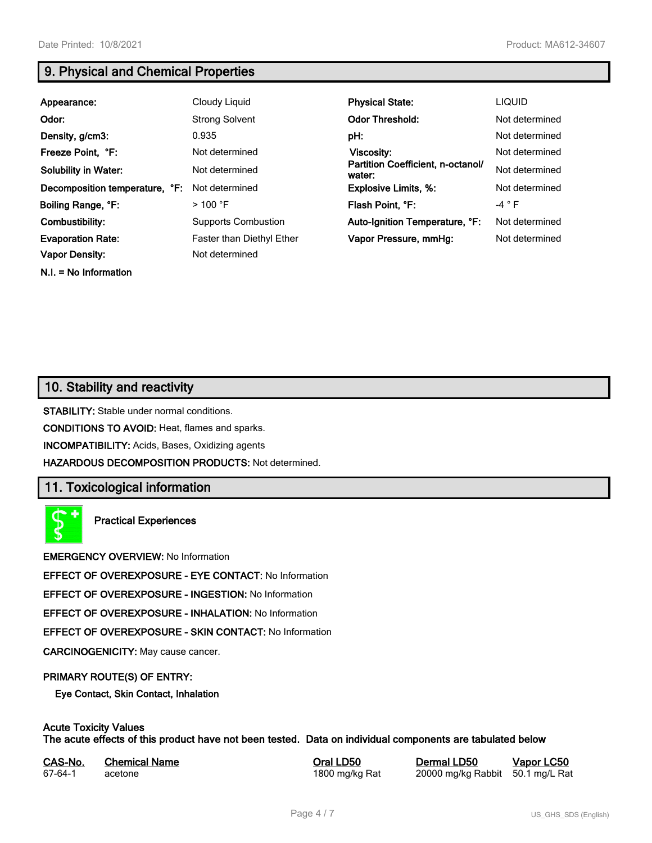**N.I. = No Information**

# **9. Physical and Chemical Properties**

| Appearance:                    | Cloudy Liquid              | <b>Physical State:</b>                      | <b>LIQUID</b>  |
|--------------------------------|----------------------------|---------------------------------------------|----------------|
| Odor:                          | <b>Strong Solvent</b>      | <b>Odor Threshold:</b>                      | Not determined |
| Density, g/cm3:                | 0.935                      | pH:                                         | Not determined |
| Freeze Point, °F:              | Not determined             | <b>Viscosity:</b>                           | Not determined |
| <b>Solubility in Water:</b>    | Not determined             | Partition Coefficient, n-octanol/<br>water: | Not determined |
| Decomposition temperature, °F: | Not determined             | <b>Explosive Limits, %:</b>                 | Not determined |
| Boiling Range, °F:             | $>100$ °F                  | Flash Point, °F:                            | -4 $\degree$ F |
| Combustibility:                | <b>Supports Combustion</b> | Auto-Ignition Temperature, °F:              | Not determined |
| <b>Evaporation Rate:</b>       | Faster than Diethyl Ether  | Vapor Pressure, mmHg:                       | Not determined |
| Vapor Density:                 | Not determined             |                                             |                |

# **10. Stability and reactivity**

**STABILITY:** Stable under normal conditions.

**CONDITIONS TO AVOID:** Heat, flames and sparks.

**INCOMPATIBILITY:** Acids, Bases, Oxidizing agents

**HAZARDOUS DECOMPOSITION PRODUCTS:** Not determined.

# **11. Toxicological information**

**Practical Experiences**

**EMERGENCY OVERVIEW:** No Information

**EFFECT OF OVEREXPOSURE - EYE CONTACT:** No Information

**EFFECT OF OVEREXPOSURE - INGESTION:** No Information

**EFFECT OF OVEREXPOSURE - INHALATION:** No Information

**EFFECT OF OVEREXPOSURE - SKIN CONTACT:** No Information

**CARCINOGENICITY:** May cause cancer.

#### **PRIMARY ROUTE(S) OF ENTRY:**

**Eye Contact, Skin Contact, Inhalation**

### **Acute Toxicity Values**

**The acute effects of this product have not been tested. Data on individual components are tabulated below**

| CAS-No. | <b>Chemical Name</b> | Ora |
|---------|----------------------|-----|
| 67-64-1 | acetone              | 180 |

**CAS-No. Chemical Name Oral LD50 Dermal LD50 Vapor LC50**

00 mg/kg Rat 20000 mg/kg Rabbit 50.1 mg/L Rat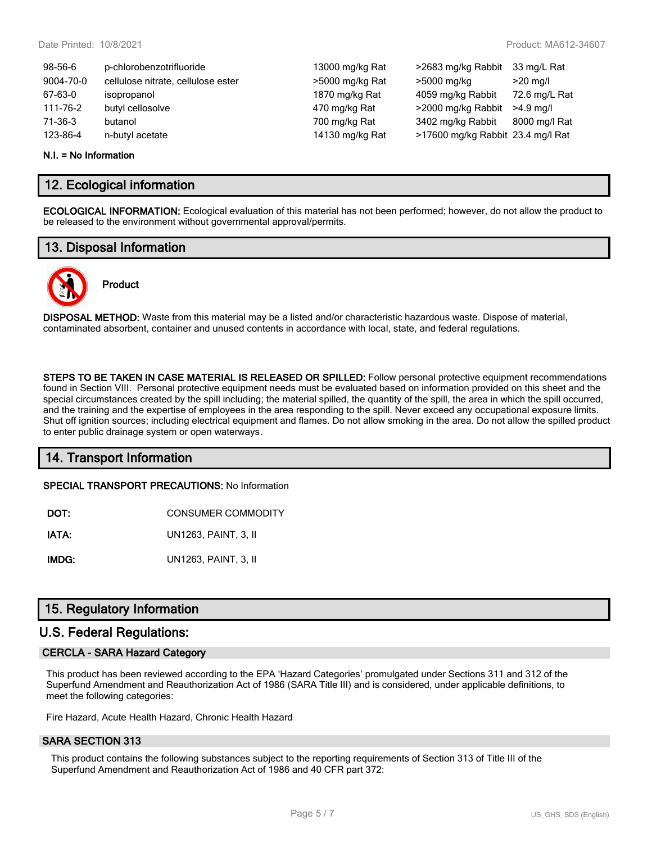| 98-56-6   | p-chlorobenzotrifluoride           | 13000 mg/kg Rat | >2683 mg/kg Rabbit                | 33 mg/L Rat   |
|-----------|------------------------------------|-----------------|-----------------------------------|---------------|
| 9004-70-0 | cellulose nitrate, cellulose ester | >5000 mg/kg Rat | >5000 mg/kg                       | $>20$ mg/l    |
| 67-63-0   | isopropanol                        | 1870 mg/kg Rat  | 4059 mg/kg Rabbit                 | 72.6 mg/L Rat |
| 111-76-2  | butyl cellosolve                   | 470 mg/kg Rat   | >2000 mg/kg Rabbit                | $>4.9$ ma/l   |
| 71-36-3   | butanol                            | 700 mg/kg Rat   | 3402 mg/kg Rabbit                 | 8000 mg/l Rat |
| 123-86-4  | n-butyl acetate                    | 14130 mg/kg Rat | >17600 mg/kg Rabbit 23.4 mg/l Rat |               |
|           |                                    |                 |                                   |               |

#### **N.I. = No Information**

### **12. Ecological information**

**ECOLOGICAL INFORMATION:** Ecological evaluation of this material has not been performed; however, do not allow the product to be released to the environment without governmental approval/permits.

### **13. Disposal Information**



# **Product**

**DISPOSAL METHOD:** Waste from this material may be a listed and/or characteristic hazardous waste. Dispose of material, contaminated absorbent, container and unused contents in accordance with local, state, and federal regulations.

**STEPS TO BE TAKEN IN CASE MATERIAL IS RELEASED OR SPILLED:** Follow personal protective equipment recommendations found in Section VIII. Personal protective equipment needs must be evaluated based on information provided on this sheet and the special circumstances created by the spill including; the material spilled, the quantity of the spill, the area in which the spill occurred, and the training and the expertise of employees in the area responding to the spill. Never exceed any occupational exposure limits. Shut off ignition sources; including electrical equipment and flames. Do not allow smoking in the area. Do not allow the spilled product to enter public drainage system or open waterways.

### **14. Transport Information**

**SPECIAL TRANSPORT PRECAUTIONS:** No Information

| DOT: | <b>CONSUMER COMMODITY</b> |
|------|---------------------------|
|      |                           |

**IATA:** UN1263, PAINT, 3, II

**IMDG:** UN1263, PAINT, 3, II

# **15. Regulatory Information**

### **U.S. Federal Regulations:**

#### **CERCLA - SARA Hazard Category**

This product has been reviewed according to the EPA 'Hazard Categories' promulgated under Sections 311 and 312 of the Superfund Amendment and Reauthorization Act of 1986 (SARA Title III) and is considered, under applicable definitions, to meet the following categories:

Fire Hazard, Acute Health Hazard, Chronic Health Hazard

#### **SARA SECTION 313**

This product contains the following substances subject to the reporting requirements of Section 313 of Title III of the Superfund Amendment and Reauthorization Act of 1986 and 40 CFR part 372: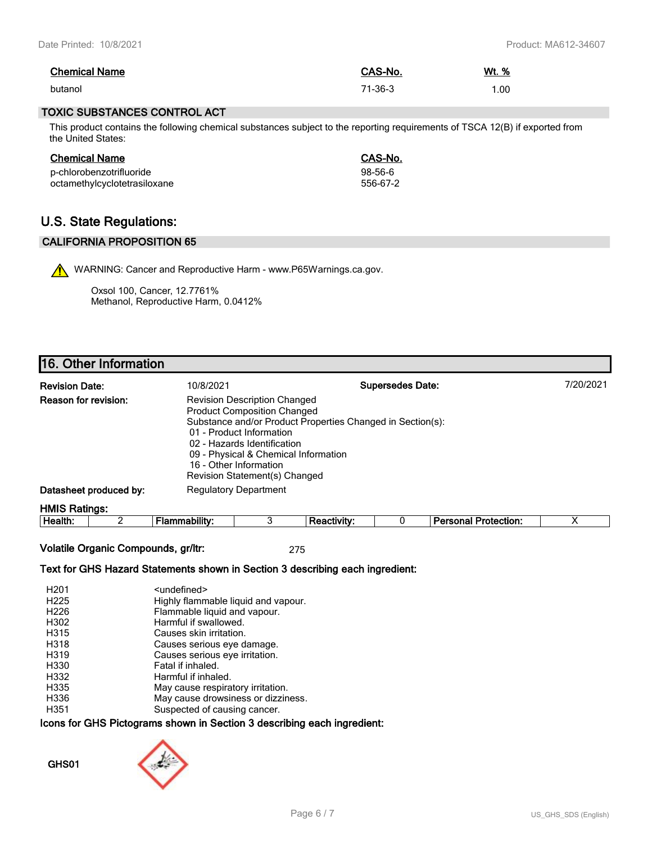| <b>Chemical Name</b> | CAS-No. | Wt. % |
|----------------------|---------|-------|
| butanol              | 71-36-3 | .00   |

#### **TOXIC SUBSTANCES CONTROL ACT**

This product contains the following chemical substances subject to the reporting requirements of TSCA 12(B) if exported from the United States:

| <b>Chemical Name</b>         | CAS-No.       |
|------------------------------|---------------|
| p-chlorobenzotrifluoride     | $98 - 56 - 6$ |
| octamethylcyclotetrasiloxane | 556-67-2      |

# **U.S. State Regulations:**

### **CALIFORNIA PROPOSITION 65**

WARNING: Cancer and Reproductive Harm - www.P65Warnings.ca.gov.

Oxsol 100, Cancer, 12.7761% Methanol, Reproductive Harm, 0.0412%

# **16. Other Information**

| <b>Revision Date:</b>       | 10/8/2021                                                                                                                                                                                                                               | <b>Supersedes Date:</b>                                    | 7/20/2021 |
|-----------------------------|-----------------------------------------------------------------------------------------------------------------------------------------------------------------------------------------------------------------------------------------|------------------------------------------------------------|-----------|
| <b>Reason for revision:</b> | <b>Revision Description Changed</b><br><b>Product Composition Changed</b><br>01 - Product Information<br>02 - Hazards Identification<br>09 - Physical & Chemical Information<br>16 - Other Information<br>Revision Statement(s) Changed | Substance and/or Product Properties Changed in Section(s): |           |
| Datasheet produced by:      | <b>Regulatory Department</b>                                                                                                                                                                                                            |                                                            |           |
| <b>LIMIC Dotings:</b>       |                                                                                                                                                                                                                                         |                                                            |           |

**HMIS Ratings: Health:** 2 **Flammability:** 3 **Reactivity:** 0 **Personal Protection:** X

**Volatile Organic Compounds, gr/ltr:** 275

#### **Text for GHS Hazard Statements shown in Section 3 describing each ingredient:**

| H <sub>201</sub> | <undefined></undefined>             |
|------------------|-------------------------------------|
| H <sub>225</sub> | Highly flammable liquid and vapour. |
| H <sub>226</sub> | Flammable liquid and vapour.        |
| H302             | Harmful if swallowed.               |
| H315             | Causes skin irritation.             |
| H318             | Causes serious eye damage.          |
| H319             | Causes serious eye irritation.      |
| H330             | Fatal if inhaled.                   |
| H332             | Harmful if inhaled.                 |
| H335             | May cause respiratory irritation.   |
| H336             | May cause drowsiness or dizziness.  |
| H351             | Suspected of causing cancer.        |

#### **Icons for GHS Pictograms shown in Section 3 describing each ingredient:**

### **GHS01**